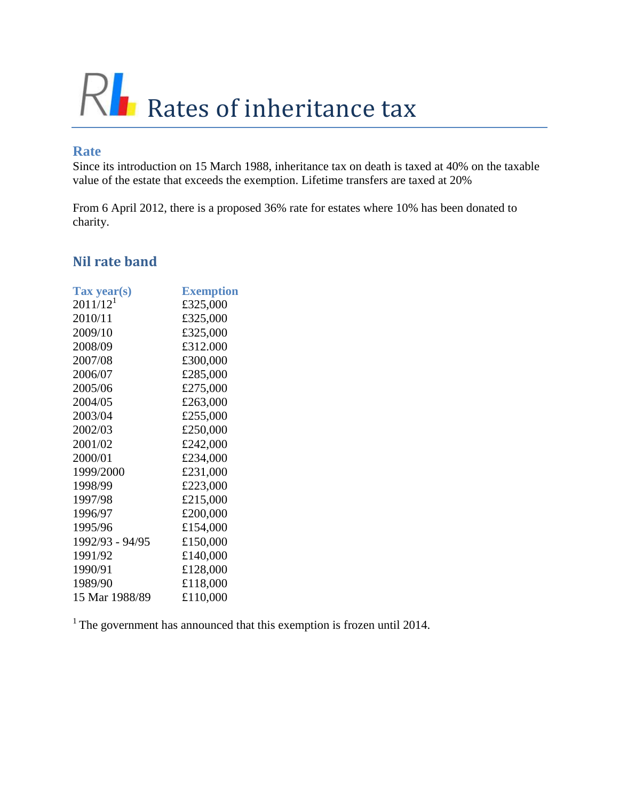# RL Rates of inheritance tax

#### **Rate**

Since its introduction on 15 March 1988, inheritance tax on death is taxed at 40% on the taxable value of the estate that exceeds the exemption. Lifetime transfers are taxed at 20%

From 6 April 2012, there is a proposed 36% rate for estates where 10% has been donated to charity.

## **Nil rate band**

| Tax year(s)     | <b>Exemption</b> |
|-----------------|------------------|
| $2011/12^{1}$   | £325,000         |
| 2010/11         | £325,000         |
| 2009/10         | £325,000         |
| 2008/09         | £312.000         |
| 2007/08         | £300,000         |
| 2006/07         | £285,000         |
| 2005/06         | £275,000         |
| 2004/05         | £263,000         |
| 2003/04         | £255,000         |
| 2002/03         | £250,000         |
| 2001/02         | £242,000         |
| 2000/01         | £234,000         |
| 1999/2000       | £231,000         |
| 1998/99         | £223,000         |
| 1997/98         | £215,000         |
| 1996/97         | £200,000         |
| 1995/96         | £154,000         |
| 1992/93 - 94/95 | £150,000         |
| 1991/92         | £140,000         |
| 1990/91         | £128,000         |
| 1989/90         | £118,000         |
| 15 Mar 1988/89  | £110,000         |

<sup>1</sup> The government has announced that this exemption is frozen until 2014.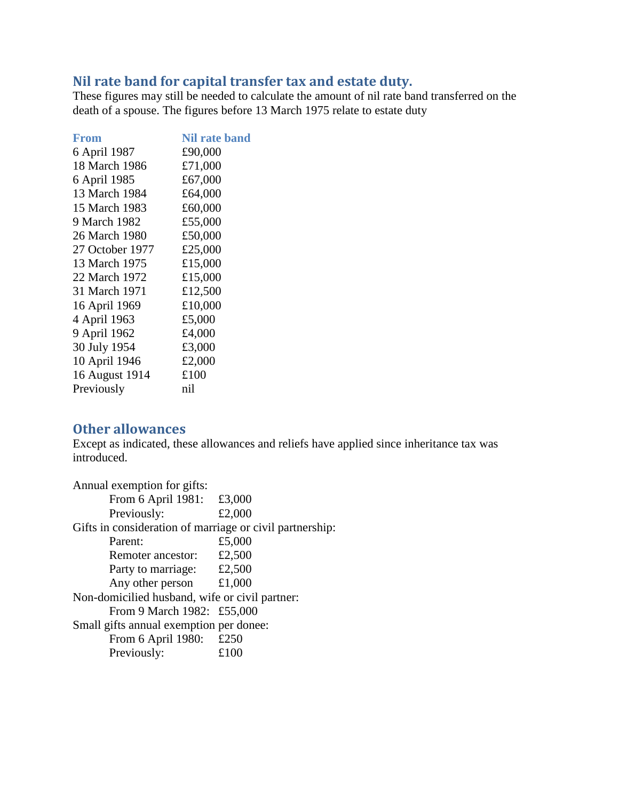## **Nil rate band for capital transfer tax and estate duty.**

These figures may still be needed to calculate the amount of nil rate band transferred on the death of a spouse. The figures before 13 March 1975 relate to estate duty

| <b>From</b>     | <b>Nil rate band</b> |
|-----------------|----------------------|
| 6 April 1987    | £90,000              |
| 18 March 1986   | £71,000              |
| 6 April 1985    | £67,000              |
| 13 March 1984   | £64,000              |
| 15 March 1983   | £60,000              |
| 9 March 1982    | £55,000              |
| 26 March 1980   | £50,000              |
| 27 October 1977 | £25,000              |
| 13 March 1975   | £15,000              |
| 22 March 1972   | £15,000              |
| 31 March 1971   | £12,500              |
| 16 April 1969   | £10,000              |
| 4 April 1963    | £5,000               |
| 9 April 1962    | £4,000               |
| 30 July 1954    | £3,000               |
| 10 April 1946   | £2,000               |
| 16 August 1914  | £100                 |
| Previously      | nil                  |
|                 |                      |

#### **Other allowances**

Except as indicated, these allowances and reliefs have applied since inheritance tax was introduced.

| Annual exemption for gifts:                              |        |
|----------------------------------------------------------|--------|
| From 6 April 1981: £3,000                                |        |
| Previously:                                              | £2,000 |
| Gifts in consideration of marriage or civil partnership: |        |
| Parent:                                                  | £5,000 |
| Remoter ancestor:                                        | £2,500 |
| Party to marriage:                                       | £2,500 |
| Any other person                                         | £1,000 |
| Non-domicilied husband, wife or civil partner:           |        |
| From 9 March 1982: £55,000                               |        |
| Small gifts annual exemption per donee:                  |        |
| From 6 April 1980: £250                                  |        |
| Previously:                                              | £100   |
|                                                          |        |
|                                                          |        |